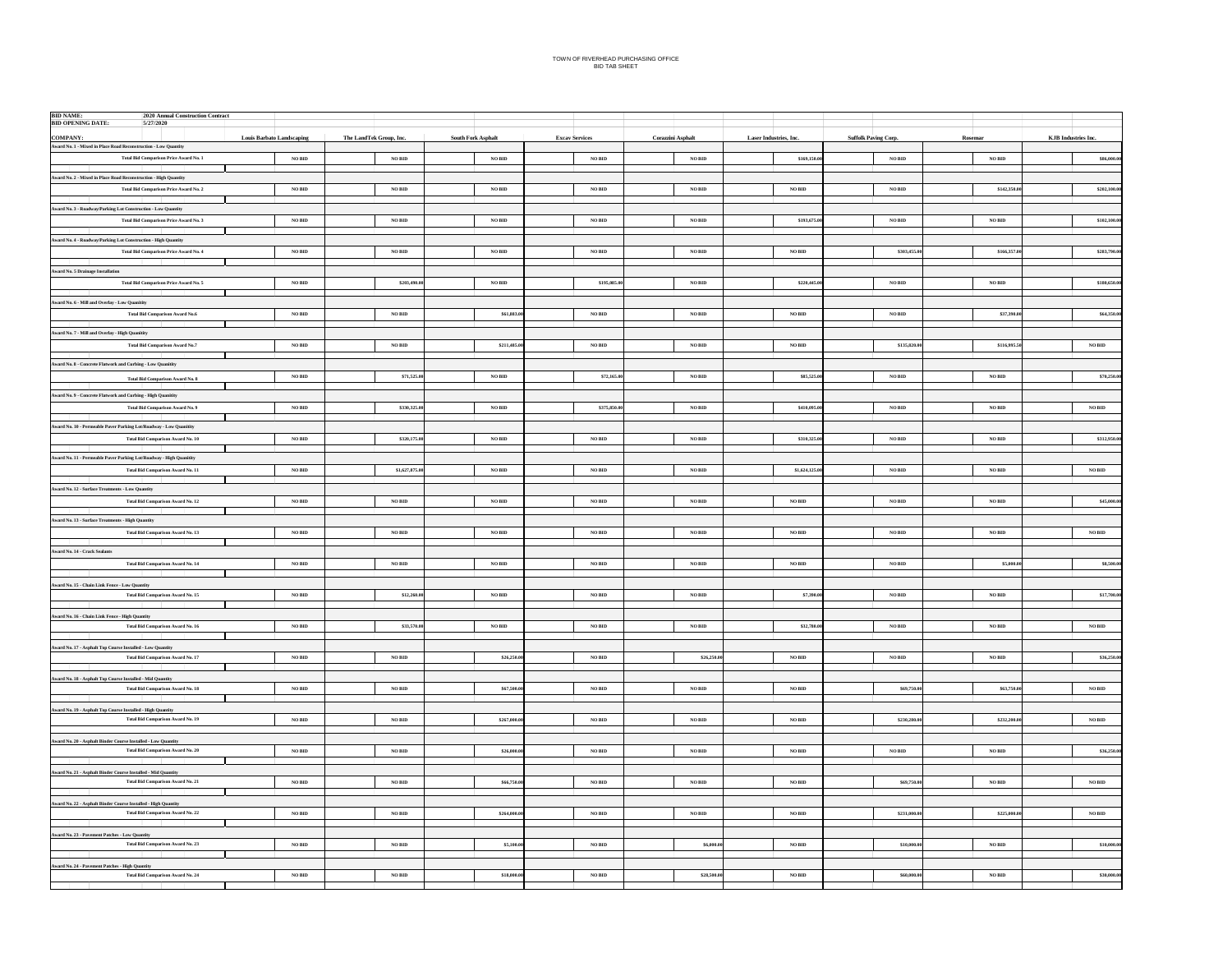| <b>BID NAME:</b><br>2020 Annual Construction Contract<br><b>BID OPENING DATE:</b><br>5/27/2020                  |                                  |                         |                           |                       |                   |                        |                             |                    |                            |
|-----------------------------------------------------------------------------------------------------------------|----------------------------------|-------------------------|---------------------------|-----------------------|-------------------|------------------------|-----------------------------|--------------------|----------------------------|
| <b>COMPANY:</b>                                                                                                 | <b>Louis Barbato Landscaping</b> | The LandTek Group, Inc. | <b>South Fork Asphalt</b> | <b>Excav Services</b> | Corazzini Asphalt | Laser Industries, Inc. | <b>Suffolk Paving Corp.</b> | Rosemar            | <b>KJB</b> Industries Inc. |
| <b>Award No. 1 - Mixed in Place Road Reconstruction - Low Quantity</b>                                          |                                  |                         |                           |                       |                   |                        |                             |                    |                            |
| <b>Total Bid Comparison Price Award No. 1</b>                                                                   | $\rm NO\,BID$                    | <b>NO BID</b>           | NO BID                    | $\rm NO\,BID$         | $\rm NO\,BID$     | \$169,150.0            | $_{\rm NO\,BID}$            | $\rm NO\,BID$      | \$86,000.00                |
| Award No. 2 - Mixed in Place Road Reconstruction - High Quantity                                                |                                  |                         |                           |                       |                   |                        |                             |                    |                            |
| <b>Total Bid Comparison Price Award No. 2</b>                                                                   | <b>NO BID</b>                    | <b>NO BID</b>           | NO BID                    | NO BID                | NO BID            | NO BID                 | NO BID                      | \$142,350          | \$202,100,00               |
| Award No. 3 - Roadway/Parking Lot Construction - Low Quantity                                                   |                                  |                         |                           |                       |                   |                        |                             |                    |                            |
| <b>Total Bid Comparison Price Award No. 3</b>                                                                   | <b>NO BID</b>                    | <b>NO BID</b>           | NO BID                    | NO BID                | NO BID            | \$193,675.0            | NO BID                      | NO BID             | \$102,100,00               |
|                                                                                                                 |                                  |                         |                           |                       |                   |                        |                             |                    |                            |
| Award No. 4 - Roadway/Parking Lot Construction - High Quantity<br><b>Total Bid Comparison Price Award No. 4</b> | <b>NO BID</b>                    | <b>NO BID</b>           | NO BID                    | NO BID                | NO BID            | NO BID                 | \$303,455.                  | \$166,357          | \$283,790.00               |
|                                                                                                                 |                                  |                         |                           |                       |                   |                        |                             |                    |                            |
| <b>Award No. 5 Drainage Installation</b>                                                                        |                                  |                         |                           |                       |                   |                        |                             |                    |                            |
| Total Bid Comparison Price Award No. 5                                                                          | <b>NO BID</b>                    | \$203,490               | <b>NO BID</b>             | \$195,085.            | $\rm NO$ BID      | \$220,445              | $\rm NO$ BID                | $\rm NO$ BID       | \$180,650.00               |
| Award No. 6 - Mill and Overlay - Low Quanitity                                                                  |                                  |                         |                           |                       |                   |                        |                             |                    |                            |
| <b>Total Bid Comparison Award No.6</b>                                                                          | $_{\rm NO\,BD}$                  | $_{\rm NO\,BID}$        | \$61,883.0                | $_{\rm NO\,BD}$       | $_{\rm NO\,BID}$  | $_{\rm NO\,BID}$       | $_{\rm NO\,BID}$            | \$37,390.          | \$64,350.00                |
| Award No. 7 - Mill and Overlay - High Quanitity                                                                 |                                  |                         |                           |                       |                   |                        |                             |                    |                            |
| Total Bid Comparison Award No.7                                                                                 | $\rm NO\,BID$                    | $\rm NO\,BID$           | \$211,485.0               | $_{\rm NO\,BD}$       | $_{\rm NO\,BID}$  | $_{\rm NO\, BID}$      | \$135,820.0                 | \$116,995.         | $_{\rm NO\,BD}$            |
|                                                                                                                 |                                  |                         |                           |                       |                   |                        |                             |                    |                            |
| Award No. 8 - Concrete Flatwork and Curbing - Low Quanitity                                                     | NO BID                           | \$71,525.0              | NO BID                    | \$72,165.0            | NO BID            | \$85,525.0             | NO BID                      | NO BID             | \$70,250,00                |
| Total Bid Comparison Award No. 8                                                                                |                                  |                         |                           |                       |                   |                        |                             |                    |                            |
| Award No. 9 - Concrete Flatwork and Curbing - High Quanitity                                                    |                                  |                         |                           |                       |                   |                        |                             |                    |                            |
| Total Bid Comparison Award No. 9                                                                                | <b>NO BID</b>                    | \$330,325.0             | <b>NO BID</b>             | \$375,850.0           | NO BID            | \$410,095.0            | NO BID                      | NO BID             | NO BID                     |
| Award No. 10 - Permeable Paver Parking Lot/Roadway - Low Quanitity                                              |                                  |                         |                           |                       |                   |                        |                             |                    |                            |
| Total Bid Comparison Award No. 10                                                                               | $\rm NO\,BID$                    | \$320,175.0             | $\rm NO\,BID$             | $\rm NO\,BID$         | $\rm NO\,BID$     | \$310,325.0            | $\rm NO$ BID                | $\rm NO$ BID       | \$312,950.00               |
| <b>Award No. 11 - Permeable Paver Parking Lot/Roadway - High Quanitity</b>                                      |                                  |                         |                           |                       |                   |                        |                             |                    |                            |
| Total Bid Comparison Award No. 11                                                                               | $\rm NO\,BID$                    | \$1,627,875.0           | $\rm NO\,BID$             | $_{\rm NO\,BD}$       | $\rm NO\,BID$     | \$1,624,125.0          | $\rm NO$ $\rm BID$          | $\rm NO$ $\rm BID$ | $_{\rm NO\, BID}$          |
|                                                                                                                 |                                  |                         |                           |                       |                   |                        |                             |                    |                            |
| <b>Award No. 12 - Surface Treatments - Low Quantity</b><br><b>Total Bid Comparison Award No. 12</b>             | $\rm NO\,BID$                    | $\rm NO\,BID$           | $\rm NO\,BID$             | $_{\rm NO\,BD}$       | $\rm NO\,BID$     | $_{\rm NO\,BID}$       | $_{\rm NO\,BID}$            | $\rm NO\,BID$      | \$45,000.00                |
|                                                                                                                 |                                  |                         |                           |                       |                   |                        |                             |                    |                            |
| <b>Award No. 13 - Surface Treatments - High Quantity</b>                                                        |                                  |                         |                           |                       |                   |                        |                             |                    |                            |
| Total Bid Comparison Award No. 13                                                                               | $\rm NO\,BID$                    | $\rm NO\,BID$           | $\rm NO\,BID$             | $_{\rm NO\,BD}$       | $\rm NO\,BID$     | $_{\rm NO\, BID}$      | $\rm NO\,BID$               | $\rm NO$ $\rm BID$ | $_{\rm NO\,BD}$            |
| Award No. 14 - Crack Sealants                                                                                   |                                  |                         |                           |                       |                   |                        |                             |                    |                            |
| <b>Total Bid Comparison Award No. 14</b>                                                                        | $\rm NO\,BID$                    | $\rm NO\,BID$           | $\rm NO$ BID              | $\rm NO\,BID$         | $\rm NO\,BID$     | $_{\rm NO\, BID}$      | $\rm NO$ $\rm BID$          | \$5,000            | \$8,500.00                 |
|                                                                                                                 |                                  |                         |                           |                       |                   |                        |                             |                    |                            |
| Award No. 15 - Chain Link Fence - Low Quantity<br>Total Bid Comparison Award No. 15                             | <b>NO RID</b>                    | \$12,260                | <b>NO BID</b>             | NO RID                | <b>NO BID</b>     | \$7,390.               | <b>NO BID</b>               | NO RID             | \$17,700,00                |
|                                                                                                                 |                                  |                         |                           |                       |                   |                        |                             |                    |                            |
| Award No. 16 - Chain Link Fence - High Quantity<br><b>Total Bid Comparison Award No. 16</b>                     | NO BID                           | \$33,570.0              | NO BID                    | NO RID                | NO BID            | \$32,780.0             | NO BID                      | NO BID             | $NO$ $\rm BID$             |
|                                                                                                                 |                                  |                         |                           |                       |                   |                        |                             |                    |                            |
| <b>Award No. 17 - Asphalt Top Course Installed - Low Quantity</b>                                               |                                  |                         |                           |                       |                   |                        |                             |                    |                            |
| Total Bid Comparison Award No. 17                                                                               | $\rm NO\,BID$                    | $\rm NO\,BID$           | \$26,250.                 | $\rm NO\,BID$         | \$26,250          | $_{\rm NO\, BID}$      | $\rm NO\,BID$               | $\rm NO\,BID$      | \$36,250.00                |
| Award No. 18 - Asphalt Top Course Installed - Mid Quantity                                                      |                                  |                         |                           |                       |                   |                        |                             |                    |                            |
| Total Bid Comparison Award No. 18                                                                               | $_{\rm NO\, BID}$                | $\rm NO\,BID$           | \$67,500.0                | $_{\rm NO\,BD}$       | $_{\rm NO\,BID}$  | $_{\rm NO\,BID}$       | \$69,750.0                  | \$63,750.          | $\rm NO\,BID$              |
|                                                                                                                 |                                  |                         |                           |                       |                   |                        |                             |                    |                            |
| Award No. 19 - Asphalt Top Course Installed - High Quantity<br>Total Bid Comparison Award No. 19                | $_{\rm NO\, BID}$                | $\rm NO\,BID$           | \$267,000.                | $_{\rm NO\,BD}$       | $_{\rm NO\,BID}$  | $_{\rm NO\,BID}$       | \$230,280.                  | \$232,200.         | $\rm NO\,BID$              |
|                                                                                                                 |                                  |                         |                           |                       |                   |                        |                             |                    |                            |
| Award No. 20 - Asphalt Binder Course Installed - Low Quantity<br>Total Bid Comparison Award No. 20              | NO BID                           | <b>NO BID</b>           | \$26,000,0                | NO BID                | NO BID            | NO BID                 | NO BID                      | NO BID             | \$36,250,00                |
|                                                                                                                 |                                  |                         |                           |                       |                   |                        |                             |                    |                            |
| Award No. 21 - Asphalt Binder Course Installed - Mid Quantity                                                   |                                  |                         |                           |                       |                   |                        |                             |                    |                            |
| <b>Total Bid Comparison Award No. 21</b>                                                                        | <b>NO BID</b>                    | NO BID                  | \$66,750.0                | NO BID                | NO BID            | NO BID                 | \$69,750.0                  | NO BID             | NO BID                     |
| Award No. 22 - Asphalt Binder Course Installed - High Quantity                                                  |                                  |                         |                           |                       |                   |                        |                             |                    |                            |
| Total Bid Comparison Award No. 22                                                                               | <b>NO BID</b>                    | $\rm NO$ BID            | \$264,000.0               | NO BID                | $\rm NO$ BID      | $_{\rm NO\,BID}$       | \$231,000.0                 | \$225,000          | $\rm NO\,BID$              |
|                                                                                                                 |                                  |                         |                           |                       |                   |                        |                             |                    |                            |
| Award No. 23 - Pavement Patches - Low Quantity<br>Total Bid Comparison Award No. 23                             | $\rm NO\,BID$                    | $\rm NO$ BID            | \$5,100.0                 | $\rm NO\,BID$         | \$6,000.0         | $_{\rm NO\,BID}$       | \$10,000                    | $\rm NO$ BID       | \$10,000,00                |
|                                                                                                                 |                                  |                         |                           |                       |                   |                        |                             |                    |                            |
| Award No. 24 - Pavement Patches - High Quantity<br>Total Bid Comparison Award No. 24                            | NO RID                           | NO RID                  | \$18,000.0                | NO RID                | \$28,500.0        | NO RID                 | \$60,000                    | NO RID             | \$30,000.00                |
|                                                                                                                 |                                  |                         |                           |                       |                   |                        |                             |                    |                            |